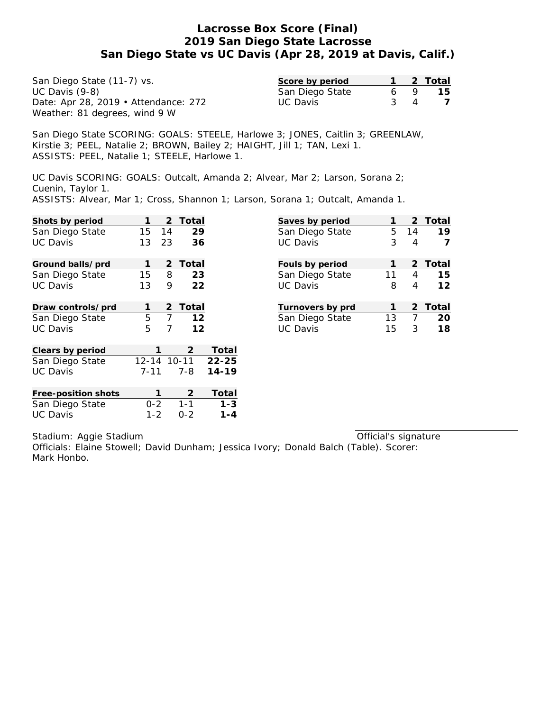| San Diego State (11-7) vs.           | Score by period |     | 2 Total |
|--------------------------------------|-----------------|-----|---------|
| UC Davis $(9-8)$                     | San Diego State | 6   | 15      |
| Date: Apr 28, 2019 • Attendance: 272 | UC Davis        | 3 4 |         |
| Weather: 81 degrees, wind 9 W        |                 |     |         |

San Diego State SCORING: GOALS: STEELE, Harlowe 3; JONES, Caitlin 3; GREENLAW, Kirstie 3; PEEL, Natalie 2; BROWN, Bailey 2; HAIGHT, Jill 1; TAN, Lexi 1. ASSISTS: PEEL, Natalie 1; STEELE, Harlowe 1.

UC Davis SCORING: GOALS: Outcalt, Amanda 2; Alvear, Mar 2; Larson, Sorana 2; Cuenin, Taylor 1.

ASSISTS: Alvear, Mar 1; Cross, Shannon 1; Larson, Sorana 1; Outcalt, Amanda 1.

| Shots by period     |          | 2              | Total        |                   |
|---------------------|----------|----------------|--------------|-------------------|
| San Diego State     | 15 14    |                | 29           |                   |
| <b>UC Davis</b>     | 13       | 23             | 36           |                   |
| Ground balls/prd    | 1        | 2              | Total        |                   |
| San Diego State     | 15       | 8              | 23           |                   |
| <b>UC Davis</b>     | 13       | 9              | 22           |                   |
| Draw controls/prd   | 1        | 2              | Total        |                   |
| San Diego State     | 5        | $\overline{7}$ | 12           |                   |
| <b>UC Davis</b>     | 5        | 7              | 12           |                   |
| Clears by period    | 1        |                | $\mathbf{2}$ | Total             |
| San Diego State     |          |                |              | 12-14 10-11 22-25 |
| <b>UC Davis</b>     | $7 - 11$ |                | 7-8          | $14 - 19$         |
| Free-position shots | 1        |                | 2            | Total             |
| San Diego State     | $0 - 2$  |                | $1 - 1$      | $1 - 3$           |
| <b>UC Davis</b>     | $1 - 2$  |                | $0 - 2$      | $1 - 4$           |

| Saves by period  |              |              | 2 Total |
|------------------|--------------|--------------|---------|
| San Diego State  |              |              | 5 14 19 |
| <b>UC Davis</b>  | 3            | 4            |         |
| Fouls by period  | 1            |              | 2 Total |
| San Diego State  | 11           |              | 4 15    |
| <b>UC Davis</b>  | 8            | 4            | 12      |
| Turnovers by prd | $\mathbf{1}$ |              | 2 Total |
| San Diego State  | 13           |              | 7 20    |
| <b>UC Davis</b>  | 15           | $\mathbf{3}$ | 18      |
|                  |              |              |         |

Stadium: Aggie Stadium

Official's signature

Officials: Elaine Stowell; David Dunham; Jessica Ivory; Donald Balch (Table). Scorer: Mark Honbo.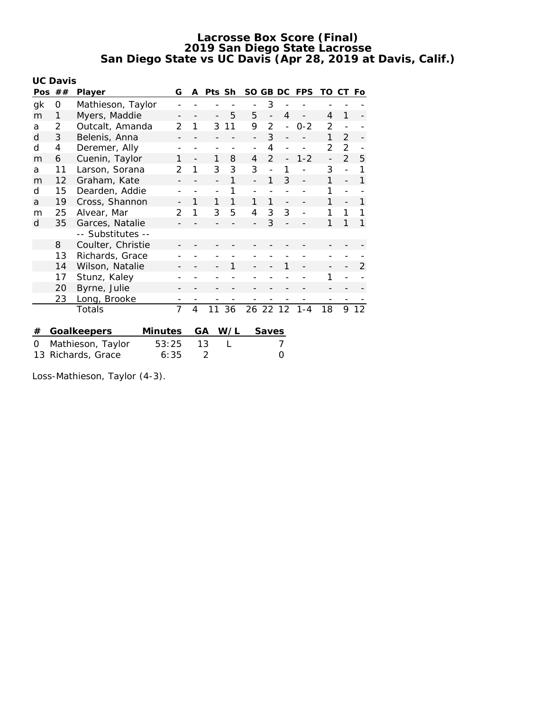|                       | <b>UC Davis</b> |                   |                |                          |        |     |                          |                |                          |            |                          |                |     |
|-----------------------|-----------------|-------------------|----------------|--------------------------|--------|-----|--------------------------|----------------|--------------------------|------------|--------------------------|----------------|-----|
| Pos                   | ##              | Player            | G              | A                        | Pts Sh |     | SO.                      | GB DC          |                          | <b>FPS</b> | TO                       | СT             | Fo. |
| gk                    | 0               | Mathieson, Taylor |                |                          |        |     |                          | 3              |                          |            |                          |                |     |
| m                     | 1               | Myers, Maddie     |                |                          |        | 5   | 5                        | $\overline{a}$ | $\overline{4}$           |            | 4                        | 1              |     |
| a                     | 2               | Outcalt, Amanda   | 2              | 1                        | 3      | 11  | 9                        | $\mathfrak{D}$ | $\overline{a}$           | $0 - 2$    | 2                        |                |     |
| d                     | 3               | Belenis, Anna     |                |                          |        |     |                          | 3              |                          |            | 1                        | $\overline{2}$ |     |
| d                     | 4               | Deremer, Ally     |                |                          |        |     | $\overline{\phantom{0}}$ | 4              |                          |            | 2                        | 2              |     |
| m                     | 6               | Cuenin, Taylor    | 1              | $\overline{\phantom{0}}$ | 1      | 8   | 4                        | $\overline{2}$ | $\overline{a}$           | $1 - 2$    | $\overline{\phantom{0}}$ | $\overline{2}$ | 5   |
| a                     | 11              | Larson, Sorana    | $\mathcal{P}$  | 1                        | 3      | 3   | 3                        |                | 1                        |            | 3                        |                | 1   |
| m                     | 12              | Graham, Kate      |                |                          |        | 1   |                          | 1              | 3                        |            | 1                        |                | 1   |
| d                     | 15              | Dearden, Addie    |                |                          |        | 1   |                          |                |                          |            | 1                        |                |     |
| a                     | 19              | Cross, Shannon    |                | 1                        | 1      | 1   | 1                        | 1              | $\overline{\phantom{0}}$ |            | 1                        |                | 1   |
| m                     | 25              | Alvear, Mar       | 2              | 1                        | 3      | 5   | 4                        | 3              | 3                        |            | 1                        | 1              | 1   |
| d                     | 35              | Garces, Natalie   |                |                          |        |     |                          | 3              |                          |            | 1                        | 1              | 1   |
|                       |                 | -- Substitutes -- |                |                          |        |     |                          |                |                          |            |                          |                |     |
|                       | 8               | Coulter, Christie |                |                          |        |     |                          |                |                          |            |                          |                |     |
|                       | 13              | Richards, Grace   |                |                          |        |     |                          |                |                          |            |                          |                |     |
|                       | 14              | Wilson, Natalie   |                |                          |        | 1   |                          |                | 1                        |            | $\overline{\phantom{a}}$ |                | 2   |
|                       | 17              | Stunz, Kaley      |                |                          |        |     |                          |                |                          |            | 1                        |                |     |
|                       | 20              | Byrne, Julie      |                |                          |        |     |                          |                |                          |            |                          |                |     |
|                       | 23              | Long, Brooke      |                |                          |        |     |                          |                |                          |            |                          |                |     |
|                       |                 | Totals            | $\overline{7}$ | $\overline{4}$           | 11     | 36  |                          | 26 22 12       |                          | $1 - 4$    | 18                       | 9              | 12  |
|                       |                 |                   |                |                          |        |     |                          |                |                          |            |                          |                |     |
| #                     |                 | Goalkeepers       | Minutes        |                          | GА     | W/L |                          | <b>Saves</b>   |                          |            |                          |                |     |
| 0                     |                 | Mathieson, Taylor | 53:25          |                          | 13     |     |                          |                | 7                        |            |                          |                |     |
| Richards, Grace<br>13 |                 |                   | 6:35           |                          | 2      |     |                          |                | 0                        |            |                          |                |     |

Loss-Mathieson, Taylor (4-3).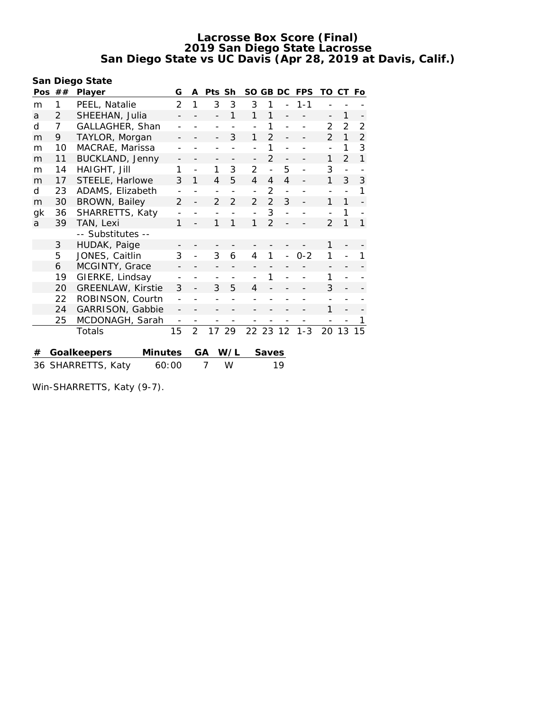**San Diego State**

| Pos                         | ## | Player                   | G                        | A              | Pts Sh         |                | SO.            | GB DC          |                | <b>FPS</b>               | TO                       | СT            | Fo             |
|-----------------------------|----|--------------------------|--------------------------|----------------|----------------|----------------|----------------|----------------|----------------|--------------------------|--------------------------|---------------|----------------|
| m                           | 1  | PEEL, Natalie            | $\overline{2}$           | 1              | 3              | 3              | 3              | 1              |                | $1 - 1$                  |                          |               |                |
| a                           | 2  | SHEEHAN, Julia           |                          |                |                | 1              | 1              | 1              |                |                          | $\overline{\phantom{0}}$ | 1             |                |
| d                           | 7  | GALLAGHER, Shan          |                          |                |                |                |                | 1              | $\overline{a}$ |                          | $\mathcal{P}$            | $\mathcal{P}$ | $\overline{2}$ |
| m                           | 9  | TAYLOR, Morgan           |                          |                |                | 3              | 1              | $\mathcal{P}$  |                |                          | $\mathcal{P}$            | 1             | $\overline{2}$ |
| m                           | 10 | MACRAE, Marissa          |                          |                |                |                |                | 1              |                |                          |                          | 1             | 3              |
| m                           | 11 | BUCKLAND, Jenny          |                          |                |                |                |                | $\mathfrak{D}$ |                |                          | 1                        | $\mathcal{P}$ | $\mathbf{1}$   |
| m                           | 14 | HAIGHT, Jill             | 1                        |                | 1              | 3              | 2              |                | 5              |                          | 3                        |               |                |
| m                           | 17 | STEELE, Harlowe          | 3                        | 1              | 4              | 5              | $\overline{4}$ | 4              | $\overline{4}$ | $\overline{\phantom{0}}$ | 1                        | 3             | 3              |
| d                           | 23 | ADAMS, Elizabeth         |                          |                |                |                |                | 2              | $\overline{a}$ |                          |                          |               | 1              |
| m                           | 30 | BROWN, Bailey            | 2                        |                | 2              | $\overline{2}$ | $\mathcal{P}$  | $\overline{2}$ | 3              |                          | 1                        | 1             |                |
| gk                          | 36 | SHARRETTS, Katy          |                          |                |                |                |                | 3              |                |                          |                          | 1             |                |
| a                           | 39 | TAN, Lexi                | 1                        |                | 1              | 1              | 1              | $\mathfrak{D}$ |                |                          | $\mathcal{P}$            | 1             | 1              |
|                             |    | -- Substitutes --        |                          |                |                |                |                |                |                |                          |                          |               |                |
|                             | 3  | HUDAK, Paige             |                          |                |                |                |                |                |                |                          | 1                        |               |                |
|                             | 5  | JONES, Caitlin           | 3                        | $\overline{a}$ | 3              | 6              | 4              | 1              | $\overline{a}$ | $0 - 2$                  | 1                        |               |                |
|                             | 6  | MCGINTY, Grace           |                          |                |                |                |                |                |                |                          |                          |               |                |
|                             | 19 | GIERKE, Lindsay          |                          |                |                |                |                | 1              |                |                          | 1                        |               |                |
|                             | 20 | <b>GREENLAW, Kirstie</b> | 3                        |                | 3              | 5              | 4              |                |                |                          | 3                        |               |                |
|                             | 22 | ROBINSON, Courtn         |                          |                |                |                |                |                |                |                          |                          |               |                |
|                             | 24 | GARRISON, Gabbie         |                          |                |                |                |                |                |                |                          | 1                        |               |                |
|                             | 25 | MCDONAGH, Sarah          | $\overline{\phantom{a}}$ |                |                | $\overline{a}$ |                |                |                |                          |                          |               |                |
|                             |    | Totals                   | 15                       | $\overline{2}$ | 17             | 29             |                | 22 23          | 12             | $1 - 3$                  | 20                       | 13            | 15             |
|                             |    |                          |                          |                |                |                |                |                |                |                          |                          |               |                |
| #                           |    | Goalkeepers<br>Minutes   |                          |                | GA             | W/L            |                | Saves          |                |                          |                          |               |                |
| 36 SHARRETTS, Katy<br>60:00 |    |                          |                          |                | $\overline{7}$ | W              |                |                | 19             |                          |                          |               |                |

Win-SHARRETTS, Katy (9-7).